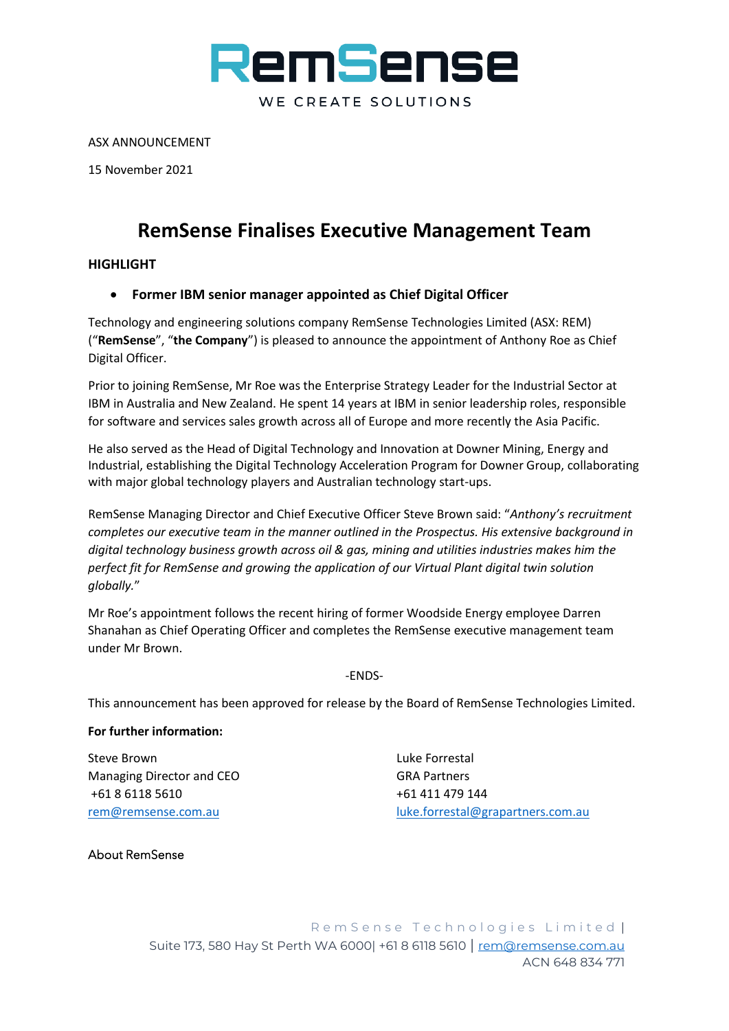

ASX ANNOUNCEMENT

15 November 2021

## **RemSense Finalises Executive Management Team**

## **HIGHLIGHT**

## • **Former IBM senior manager appointed as Chief Digital Officer**

Technology and engineering solutions company RemSense Technologies Limited (ASX: REM) ("**RemSense**", "**the Company**") is pleased to announce the appointment of Anthony Roe as Chief Digital Officer.

Prior to joining RemSense, Mr Roe was the Enterprise Strategy Leader for the Industrial Sector at IBM in Australia and New Zealand. He spent 14 years at IBM in senior leadership roles, responsible for software and services sales growth across all of Europe and more recently the Asia Pacific.

He also served as the Head of Digital Technology and Innovation at Downer Mining, Energy and Industrial, establishing the Digital Technology Acceleration Program for Downer Group, collaborating with major global technology players and Australian technology start-ups.

RemSense Managing Director and Chief Executive Officer Steve Brown said: "*Anthony's recruitment completes our executive team in the manner outlined in the Prospectus. His extensive background in digital technology business growth across oil & gas, mining and utilities industries makes him the perfect fit for RemSense and growing the application of our Virtual Plant digital twin solution globally.*"

Mr Roe's appointment follows the recent hiring of former Woodside Energy employee Darren Shanahan as Chief Operating Officer and completes the RemSense executive management team under Mr Brown.

-ENDS-

This announcement has been approved for release by the Board of RemSense Technologies Limited.

## **For further information:**

Steve Brown **Luke Forrestal** Managing Director and CEO GRA Partners +61 8 6118 5610 +61 411 479 144

[rem@remsense.com.au](mailto:rem@remsense.com.au) [luke.forrestal@grapartners.com.au](mailto:luke.forrestal@grapartners.com.au)

About RemSense